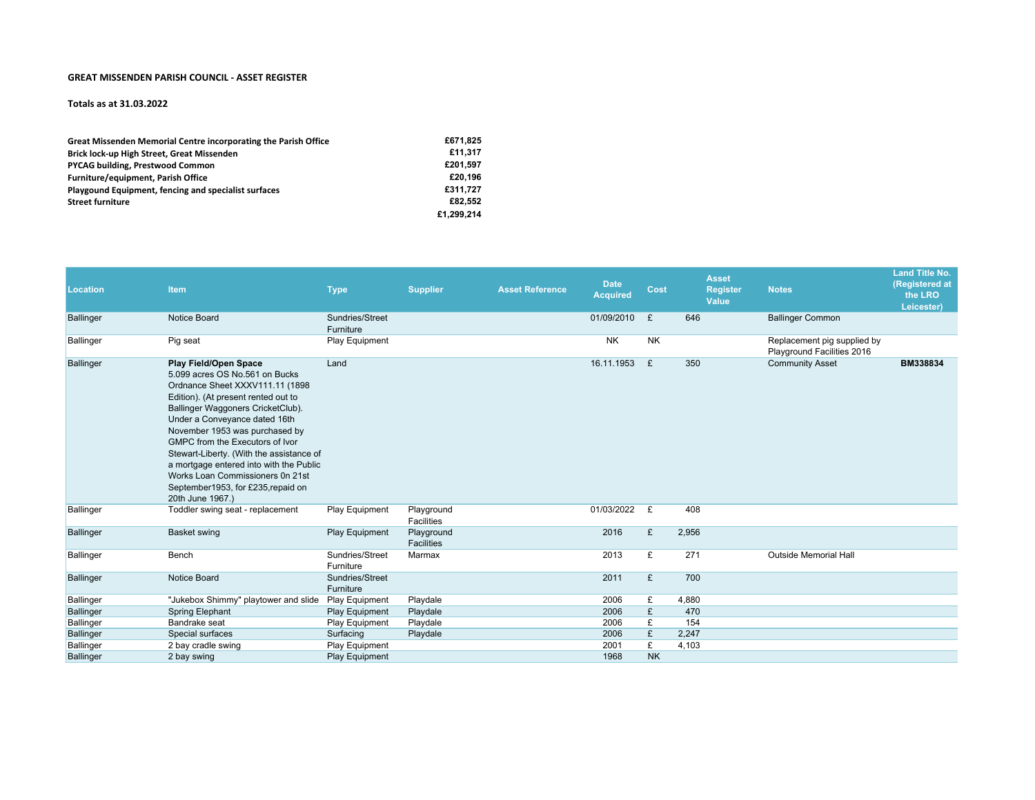## **GREAT MISSENDEN PARISH COUNCIL ‐ ASSET REGISTER**

## **Totals as at 31.03.2022**

| Great Missenden Memorial Centre incorporating the Parish Office | £671.825   |
|-----------------------------------------------------------------|------------|
| Brick lock-up High Street, Great Missenden                      | £11.317    |
| <b>PYCAG building, Prestwood Common</b>                         | £201.597   |
| Furniture/equipment, Parish Office                              | £20.196    |
| Playgound Equipment, fencing and specialist surfaces            | £311.727   |
| <b>Street furniture</b>                                         | £82.552    |
|                                                                 | £1.299.214 |

| <b>Location</b>  | Item                                                                                                                                                                                                                                                                                                                                                                                                                                                              | <b>Type</b>                  | <b>Supplier</b>                 | <b>Asset Reference</b> | <b>Date</b><br><b>Acquired</b> | Cost      | <b>Asset</b><br>Value | <b>Register</b> | <b>Notes</b>                                              | <b>Land Title No.</b><br>(Registered at<br>the LRO<br>Leicester) |
|------------------|-------------------------------------------------------------------------------------------------------------------------------------------------------------------------------------------------------------------------------------------------------------------------------------------------------------------------------------------------------------------------------------------------------------------------------------------------------------------|------------------------------|---------------------------------|------------------------|--------------------------------|-----------|-----------------------|-----------------|-----------------------------------------------------------|------------------------------------------------------------------|
| <b>Ballinger</b> | Notice Board                                                                                                                                                                                                                                                                                                                                                                                                                                                      | Sundries/Street<br>Furniture |                                 |                        | 01/09/2010                     | £         | 646                   |                 | <b>Ballinger Common</b>                                   |                                                                  |
| <b>Ballinger</b> | Pig seat                                                                                                                                                                                                                                                                                                                                                                                                                                                          | Play Equipment               |                                 |                        | <b>NK</b>                      | <b>NK</b> |                       |                 | Replacement pig supplied by<br>Playground Facilities 2016 |                                                                  |
| <b>Ballinger</b> | Play Field/Open Space<br>5.099 acres OS No.561 on Bucks<br>Ordnance Sheet XXXV111.11 (1898<br>Edition). (At present rented out to<br>Ballinger Waggoners CricketClub).<br>Under a Conveyance dated 16th<br>November 1953 was purchased by<br>GMPC from the Executors of Ivor<br>Stewart-Liberty. (With the assistance of<br>a mortgage entered into with the Public<br>Works Loan Commissioners 0n 21st<br>September1953, for £235, repaid on<br>20th June 1967.) | Land                         |                                 |                        | 16.11.1953                     | £         | 350                   |                 | <b>Community Asset</b>                                    | BM338834                                                         |
| <b>Ballinger</b> | Toddler swing seat - replacement                                                                                                                                                                                                                                                                                                                                                                                                                                  | Play Equipment               | Playground<br>Facilities        |                        | 01/03/2022                     | £         | 408                   |                 |                                                           |                                                                  |
| <b>Ballinger</b> | <b>Basket swing</b>                                                                                                                                                                                                                                                                                                                                                                                                                                               | Play Equipment               | Playground<br><b>Facilities</b> |                        | 2016                           | £         | 2,956                 |                 |                                                           |                                                                  |
| <b>Ballinger</b> | Bench                                                                                                                                                                                                                                                                                                                                                                                                                                                             | Sundries/Street<br>Furniture | Marmax                          |                        | 2013                           | £         | 271                   |                 | <b>Outside Memorial Hall</b>                              |                                                                  |
| <b>Ballinger</b> | Notice Board                                                                                                                                                                                                                                                                                                                                                                                                                                                      | Sundries/Street<br>Furniture |                                 |                        | 2011                           | £         | 700                   |                 |                                                           |                                                                  |
| <b>Ballinger</b> | "Jukebox Shimmy" playtower and slide                                                                                                                                                                                                                                                                                                                                                                                                                              | Play Equipment               | Playdale                        |                        | 2006                           | £         | 4,880                 |                 |                                                           |                                                                  |
| <b>Ballinger</b> | <b>Spring Elephant</b>                                                                                                                                                                                                                                                                                                                                                                                                                                            | Play Equipment               | Playdale                        |                        | 2006                           | £         | 470                   |                 |                                                           |                                                                  |
| <b>Ballinger</b> | Bandrake seat                                                                                                                                                                                                                                                                                                                                                                                                                                                     | Play Equipment               | Playdale                        |                        | 2006                           | £         | 154                   |                 |                                                           |                                                                  |
| <b>Ballinger</b> | Special surfaces                                                                                                                                                                                                                                                                                                                                                                                                                                                  | Surfacing                    | Playdale                        |                        | 2006                           | £         | 2,247                 |                 |                                                           |                                                                  |
| <b>Ballinger</b> | 2 bay cradle swing                                                                                                                                                                                                                                                                                                                                                                                                                                                | Play Equipment               |                                 |                        | 2001                           | £         | 4,103                 |                 |                                                           |                                                                  |
| <b>Ballinger</b> | 2 bay swing                                                                                                                                                                                                                                                                                                                                                                                                                                                       | Play Equipment               |                                 |                        | 1968                           | <b>NK</b> |                       |                 |                                                           |                                                                  |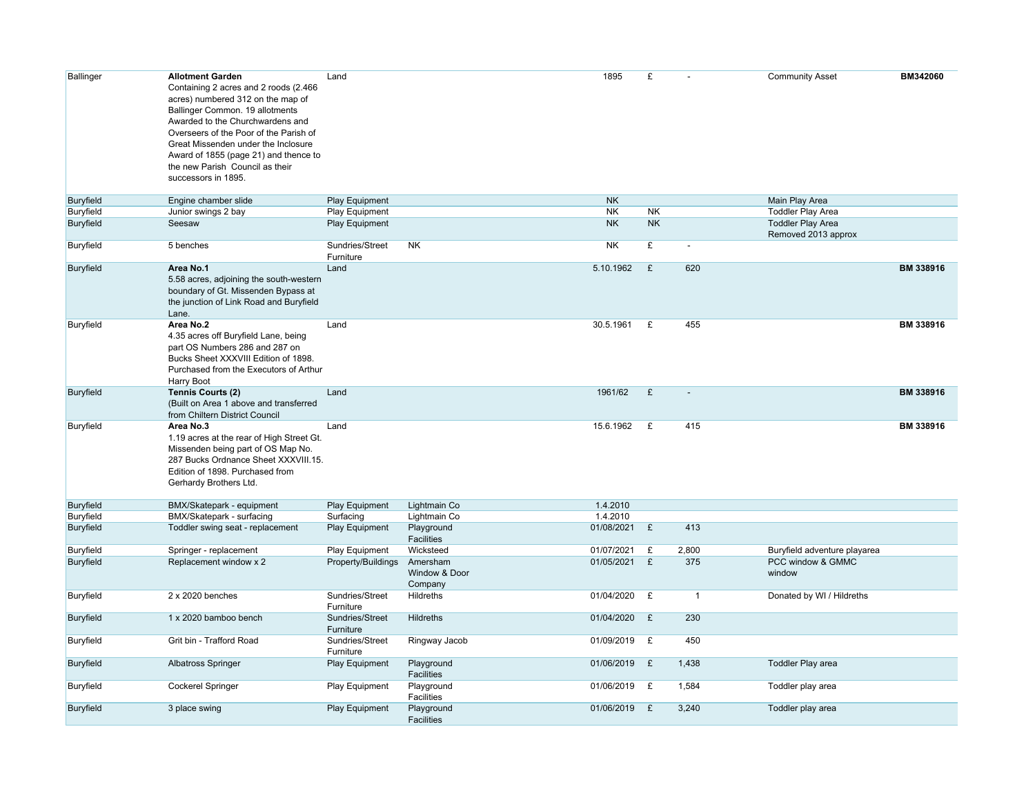| <b>Ballinger</b> | <b>Allotment Garden</b><br>Containing 2 acres and 2 roods (2.466<br>acres) numbered 312 on the map of<br>Ballinger Common. 19 allotments<br>Awarded to the Churchwardens and<br>Overseers of the Poor of the Parish of<br>Great Missenden under the Inclosure<br>Award of 1855 (page 21) and thence to<br>the new Parish Council as their<br>successors in 1895. | Land                         |                                      | 1895         | £         |                | <b>Community Asset</b>                          | BM342060  |
|------------------|------------------------------------------------------------------------------------------------------------------------------------------------------------------------------------------------------------------------------------------------------------------------------------------------------------------------------------------------------------------|------------------------------|--------------------------------------|--------------|-----------|----------------|-------------------------------------------------|-----------|
| <b>Buryfield</b> | Engine chamber slide                                                                                                                                                                                                                                                                                                                                             | Play Equipment               |                                      | <b>NK</b>    |           |                | Main Play Area                                  |           |
| Buryfield        | Junior swings 2 bay                                                                                                                                                                                                                                                                                                                                              | Play Equipment               |                                      | NK           | <b>NK</b> |                | <b>Toddler Play Area</b>                        |           |
| Buryfield        | Seesaw                                                                                                                                                                                                                                                                                                                                                           | Play Equipment               |                                      | NK.          | <b>NK</b> |                | <b>Toddler Play Area</b><br>Removed 2013 approx |           |
| Buryfield        | 5 benches                                                                                                                                                                                                                                                                                                                                                        | Sundries/Street<br>Furniture | NK.                                  | <b>NK</b>    | £         | $\blacksquare$ |                                                 |           |
| Buryfield        | Area No.1<br>5.58 acres, adjoining the south-western<br>boundary of Gt. Missenden Bypass at<br>the junction of Link Road and Buryfield<br>Lane.                                                                                                                                                                                                                  | Land                         |                                      | 5.10.1962    | £         | 620            |                                                 | BM 338916 |
| Buryfield        | Area No.2<br>4.35 acres off Buryfield Lane, being<br>part OS Numbers 286 and 287 on<br>Bucks Sheet XXXVIII Edition of 1898.<br>Purchased from the Executors of Arthur<br>Harry Boot                                                                                                                                                                              | Land                         |                                      | 30.5.1961    | £         | 455            |                                                 | BM 338916 |
| <b>Buryfield</b> | <b>Tennis Courts (2)</b><br>(Built on Area 1 above and transferred<br>from Chiltern District Council                                                                                                                                                                                                                                                             | Land                         |                                      | 1961/62      | £         | $\blacksquare$ |                                                 | BM 338916 |
| Buryfield        | Area No.3<br>1.19 acres at the rear of High Street Gt.<br>Missenden being part of OS Map No.<br>287 Bucks Ordnance Sheet XXXVIII.15.<br>Edition of 1898. Purchased from<br>Gerhardy Brothers Ltd.                                                                                                                                                                | Land                         |                                      | 15.6.1962    | £         | 415            |                                                 | BM 338916 |
| Buryfield        | BMX/Skatepark - equipment                                                                                                                                                                                                                                                                                                                                        | <b>Play Equipment</b>        | Lightmain Co                         | 1.4.2010     |           |                |                                                 |           |
| Buryfield        | BMX/Skatepark - surfacing                                                                                                                                                                                                                                                                                                                                        | Surfacing                    | Lightmain Co                         | 1.4.2010     |           |                |                                                 |           |
| Buryfield        | Toddler swing seat - replacement                                                                                                                                                                                                                                                                                                                                 | Play Equipment               | Playground<br><b>Facilities</b>      | 01/08/2021   | £         | 413            |                                                 |           |
| Buryfield        | Springer - replacement                                                                                                                                                                                                                                                                                                                                           | Play Equipment               | Wicksteed                            | 01/07/2021   | £         | 2,800          | Buryfield adventure playarea                    |           |
| <b>Buryfield</b> | Replacement window x 2                                                                                                                                                                                                                                                                                                                                           | Property/Buildings           | Amersham<br>Window & Door<br>Company | 01/05/2021   | £         | 375            | PCC window & GMMC<br>window                     |           |
| Buryfield        | 2 x 2020 benches                                                                                                                                                                                                                                                                                                                                                 | Sundries/Street<br>Furniture | Hildreths                            | 01/04/2020   | £         | $\mathbf{1}$   | Donated by WI / Hildreths                       |           |
| Buryfield        | 1 x 2020 bamboo bench                                                                                                                                                                                                                                                                                                                                            | Sundries/Street<br>Furniture | <b>Hildreths</b>                     | 01/04/2020   | £         | 230            |                                                 |           |
| <b>Buryfield</b> | Grit bin - Trafford Road                                                                                                                                                                                                                                                                                                                                         | Sundries/Street<br>Furniture | Ringway Jacob                        | 01/09/2019   | £         | 450            |                                                 |           |
| Buryfield        | <b>Albatross Springer</b>                                                                                                                                                                                                                                                                                                                                        | Play Equipment               | Playground<br><b>Facilities</b>      | 01/06/2019   | £         | 1,438          | <b>Toddler Play area</b>                        |           |
| <b>Buryfield</b> | <b>Cockerel Springer</b>                                                                                                                                                                                                                                                                                                                                         | Play Equipment               | Playground<br>Facilities             | 01/06/2019   | £         | 1,584          | Toddler play area                               |           |
| <b>Buryfield</b> | 3 place swing                                                                                                                                                                                                                                                                                                                                                    | Play Equipment               | Playground<br>Facilities             | 01/06/2019 £ |           | 3,240          | Toddler play area                               |           |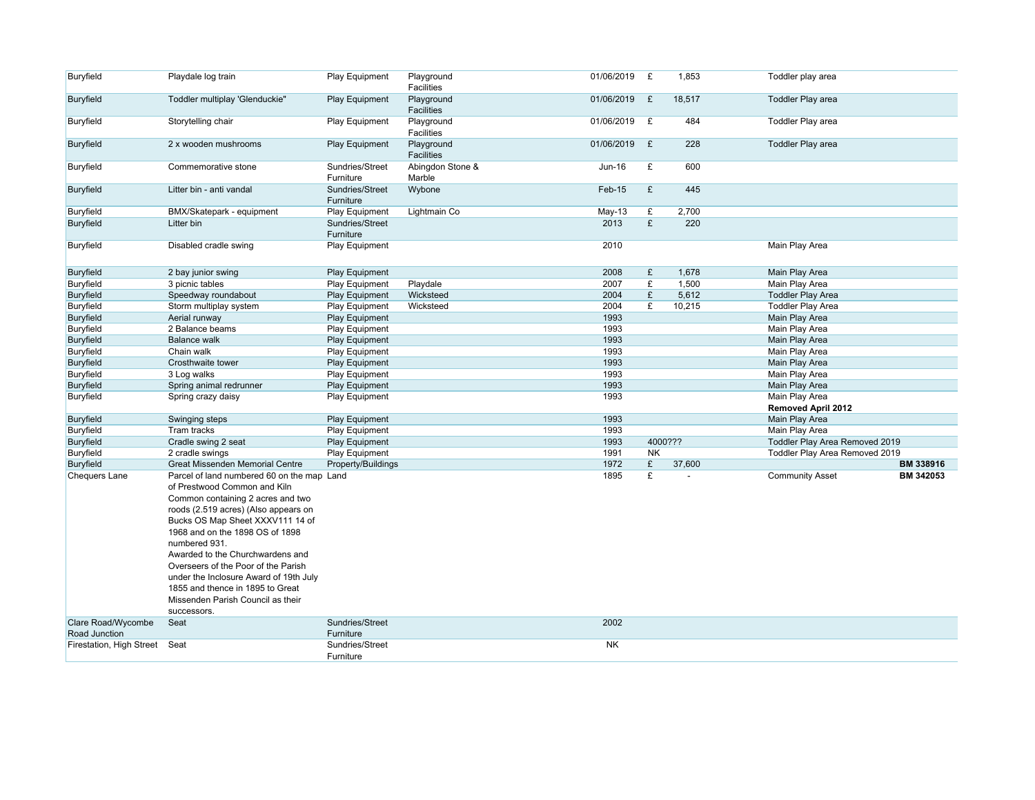| Buryfield                | Playdale log train                                                                                                                                                                                                                                                                                                                                                                                                     | Play Equipment               | Playground<br>Facilities        | 01/06/2019 | £         | 1,853   | Toddler play area                          |
|--------------------------|------------------------------------------------------------------------------------------------------------------------------------------------------------------------------------------------------------------------------------------------------------------------------------------------------------------------------------------------------------------------------------------------------------------------|------------------------------|---------------------------------|------------|-----------|---------|--------------------------------------------|
| Buryfield                | Toddler multiplay 'Glenduckie"                                                                                                                                                                                                                                                                                                                                                                                         | Play Equipment               | Playground<br><b>Facilities</b> | 01/06/2019 | £         | 18,517  | <b>Toddler Play area</b>                   |
| Buryfield                | Storytelling chair                                                                                                                                                                                                                                                                                                                                                                                                     | Play Equipment               | Playground<br>Facilities        | 01/06/2019 | £         | 484     | Toddler Play area                          |
| Buryfield                | 2 x wooden mushrooms                                                                                                                                                                                                                                                                                                                                                                                                   | Play Equipment               | Playground<br>Facilities        | 01/06/2019 | £         | 228     | <b>Toddler Play area</b>                   |
| Buryfield                | Commemorative stone                                                                                                                                                                                                                                                                                                                                                                                                    | Sundries/Street<br>Furniture | Abingdon Stone &<br>Marble      | Jun-16     | £         | 600     |                                            |
| Buryfield                | Litter bin - anti vandal                                                                                                                                                                                                                                                                                                                                                                                               | Sundries/Street<br>Furniture | Wybone                          | Feb-15     | £         | 445     |                                            |
| Buryfield                | BMX/Skatepark - equipment                                                                                                                                                                                                                                                                                                                                                                                              | Play Equipment               | Lightmain Co                    | May-13     | £         | 2,700   |                                            |
| Buryfield                | Litter bin                                                                                                                                                                                                                                                                                                                                                                                                             | Sundries/Street<br>Furniture |                                 | 2013       | £         | 220     |                                            |
| Buryfield                | Disabled cradle swing                                                                                                                                                                                                                                                                                                                                                                                                  | <b>Play Equipment</b>        |                                 | 2010       |           |         | Main Play Area                             |
| Buryfield                | 2 bay junior swing                                                                                                                                                                                                                                                                                                                                                                                                     | <b>Play Equipment</b>        |                                 | 2008       | £         | 1,678   | Main Play Area                             |
| Buryfield                | 3 picnic tables                                                                                                                                                                                                                                                                                                                                                                                                        | <b>Play Equipment</b>        | Playdale                        | 2007       | £         | 1,500   | Main Play Area                             |
| Buryfield                | Speedway roundabout                                                                                                                                                                                                                                                                                                                                                                                                    | Play Equipment               | Wicksteed                       | 2004       | £         | 5,612   | <b>Toddler Play Area</b>                   |
| Buryfield                | Storm multiplay system                                                                                                                                                                                                                                                                                                                                                                                                 | Play Equipment               | Wicksteed                       | 2004       | £         | 10,215  | <b>Toddler Play Area</b>                   |
| Buryfield                | Aerial runway                                                                                                                                                                                                                                                                                                                                                                                                          | Play Equipment               |                                 | 1993       |           |         | Main Play Area                             |
| Buryfield                | 2 Balance beams                                                                                                                                                                                                                                                                                                                                                                                                        | Play Equipment               |                                 | 1993       |           |         | Main Play Area                             |
| Buryfield                | <b>Balance walk</b>                                                                                                                                                                                                                                                                                                                                                                                                    | Play Equipment               |                                 | 1993       |           |         | Main Play Area                             |
| Buryfield                | Chain walk                                                                                                                                                                                                                                                                                                                                                                                                             | <b>Play Equipment</b>        |                                 | 1993       |           |         | Main Play Area                             |
| Buryfield                | Crosthwaite tower                                                                                                                                                                                                                                                                                                                                                                                                      | <b>Play Equipment</b>        |                                 | 1993       |           |         | Main Play Area                             |
| Buryfield                | 3 Log walks                                                                                                                                                                                                                                                                                                                                                                                                            | Play Equipment               |                                 | 1993       |           |         | Main Play Area                             |
| Buryfield                | Spring animal redrunner                                                                                                                                                                                                                                                                                                                                                                                                | Play Equipment               |                                 | 1993       |           |         | Main Play Area                             |
| Buryfield                | Spring crazy daisy                                                                                                                                                                                                                                                                                                                                                                                                     | Play Equipment               |                                 | 1993       |           |         | Main Play Area                             |
|                          |                                                                                                                                                                                                                                                                                                                                                                                                                        |                              |                                 |            |           |         | <b>Removed April 2012</b>                  |
| Buryfield                | Swinging steps                                                                                                                                                                                                                                                                                                                                                                                                         | <b>Play Equipment</b>        |                                 | 1993       |           |         | Main Play Area                             |
| Buryfield                | Tram tracks                                                                                                                                                                                                                                                                                                                                                                                                            | Play Equipment               |                                 | 1993       |           |         | Main Play Area                             |
| Buryfield                | Cradle swing 2 seat                                                                                                                                                                                                                                                                                                                                                                                                    | <b>Play Equipment</b>        |                                 | 1993       |           | 4000??? | Toddler Play Area Removed 2019             |
| Buryfield                | 2 cradle swings                                                                                                                                                                                                                                                                                                                                                                                                        | Play Equipment               |                                 | 1991       | <b>NK</b> |         | Toddler Play Area Removed 2019             |
| Buryfield                | <b>Great Missenden Memorial Centre</b>                                                                                                                                                                                                                                                                                                                                                                                 | Property/Buildings           |                                 | 1972       | £         | 37,600  | <b>BM 338916</b>                           |
| <b>Chequers Lane</b>     | Parcel of land numbered 60 on the map Land                                                                                                                                                                                                                                                                                                                                                                             |                              |                                 | 1895       | £         |         | <b>Community Asset</b><br><b>BM 342053</b> |
| Clare Road/Wycombe       | of Prestwood Common and Kiln<br>Common containing 2 acres and two<br>roods (2.519 acres) (Also appears on<br>Bucks OS Map Sheet XXXV111 14 of<br>1968 and on the 1898 OS of 1898<br>numbered 931.<br>Awarded to the Churchwardens and<br>Overseers of the Poor of the Parish<br>under the Inclosure Award of 19th July<br>1855 and thence in 1895 to Great<br>Missenden Parish Council as their<br>successors.<br>Seat | Sundries/Street              |                                 | 2002       |           |         |                                            |
| Road Junction            |                                                                                                                                                                                                                                                                                                                                                                                                                        | Furniture                    |                                 |            |           |         |                                            |
| Firestation, High Street | Seat                                                                                                                                                                                                                                                                                                                                                                                                                   | Sundries/Street              |                                 | <b>NK</b>  |           |         |                                            |
|                          |                                                                                                                                                                                                                                                                                                                                                                                                                        | Furniture                    |                                 |            |           |         |                                            |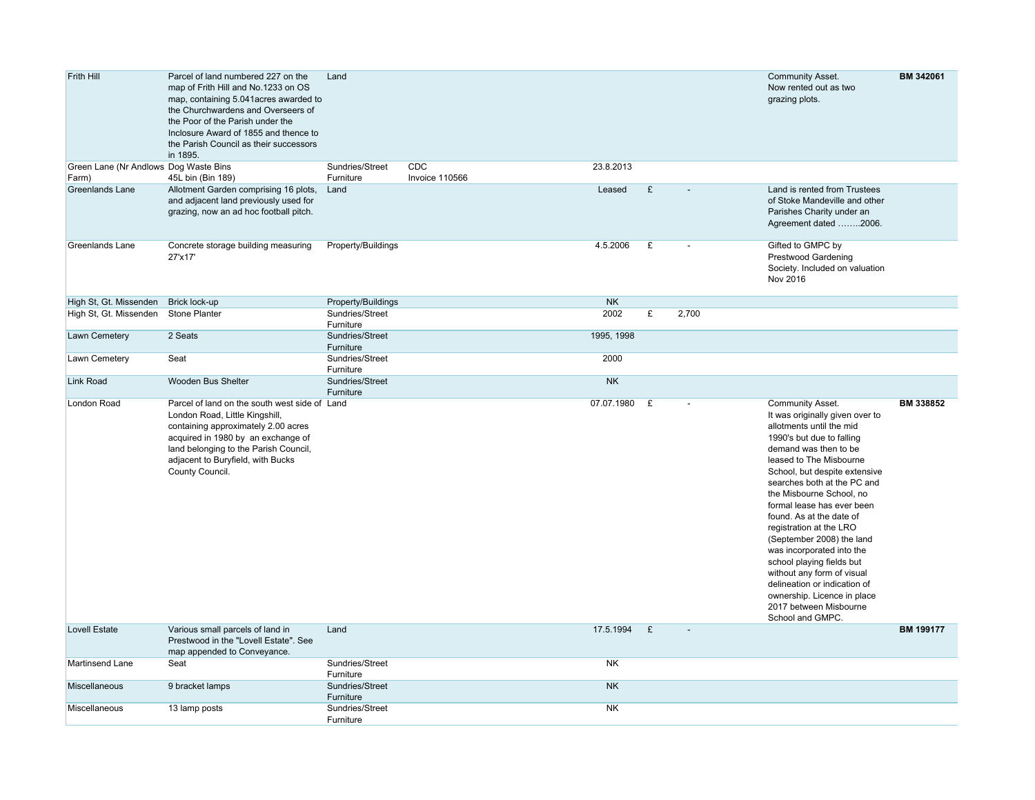| Frith Hill                                     | Parcel of land numbered 227 on the<br>map of Frith Hill and No.1233 on OS<br>map, containing 5.041 acres awarded to<br>the Churchwardens and Overseers of<br>the Poor of the Parish under the<br>Inclosure Award of 1855 and thence to<br>the Parish Council as their successors<br>in 1895. | Land                         |                       |              |   |                | <b>Community Asset.</b><br>Now rented out as two<br>grazing plots.                                                                                                                                                                                                                                                                                                                                                                                                                                                                                                                  | BM 342061        |
|------------------------------------------------|----------------------------------------------------------------------------------------------------------------------------------------------------------------------------------------------------------------------------------------------------------------------------------------------|------------------------------|-----------------------|--------------|---|----------------|-------------------------------------------------------------------------------------------------------------------------------------------------------------------------------------------------------------------------------------------------------------------------------------------------------------------------------------------------------------------------------------------------------------------------------------------------------------------------------------------------------------------------------------------------------------------------------------|------------------|
| Green Lane (Nr Andlows Dog Waste Bins<br>Farm) | 45L bin (Bin 189)                                                                                                                                                                                                                                                                            | Sundries/Street<br>Furniture | CDC<br>Invoice 110566 | 23.8.2013    |   |                |                                                                                                                                                                                                                                                                                                                                                                                                                                                                                                                                                                                     |                  |
| <b>Greenlands Lane</b>                         | Allotment Garden comprising 16 plots,<br>and adjacent land previously used for<br>grazing, now an ad hoc football pitch.                                                                                                                                                                     | Land                         |                       | Leased       | £ |                | Land is rented from Trustees<br>of Stoke Mandeville and other<br>Parishes Charity under an<br>Agreement dated 2006.                                                                                                                                                                                                                                                                                                                                                                                                                                                                 |                  |
| Greenlands Lane                                | Concrete storage building measuring<br>27'x17'                                                                                                                                                                                                                                               | Property/Buildings           |                       | 4.5.2006     | £ |                | Gifted to GMPC by<br><b>Prestwood Gardening</b><br>Society. Included on valuation<br>Nov 2016                                                                                                                                                                                                                                                                                                                                                                                                                                                                                       |                  |
| High St, Gt. Missenden                         | Brick lock-up                                                                                                                                                                                                                                                                                | Property/Buildings           |                       | <b>NK</b>    |   |                |                                                                                                                                                                                                                                                                                                                                                                                                                                                                                                                                                                                     |                  |
| High St, Gt. Missenden                         | <b>Stone Planter</b>                                                                                                                                                                                                                                                                         | Sundries/Street<br>Furniture |                       | 2002         | £ | 2,700          |                                                                                                                                                                                                                                                                                                                                                                                                                                                                                                                                                                                     |                  |
| Lawn Cemetery                                  | 2 Seats                                                                                                                                                                                                                                                                                      | Sundries/Street<br>Furniture |                       | 1995, 1998   |   |                |                                                                                                                                                                                                                                                                                                                                                                                                                                                                                                                                                                                     |                  |
| Lawn Cemetery                                  | Seat                                                                                                                                                                                                                                                                                         | Sundries/Street<br>Furniture |                       | 2000         |   |                |                                                                                                                                                                                                                                                                                                                                                                                                                                                                                                                                                                                     |                  |
| <b>Link Road</b>                               | <b>Wooden Bus Shelter</b>                                                                                                                                                                                                                                                                    | Sundries/Street<br>Furniture |                       | <b>NK</b>    |   |                |                                                                                                                                                                                                                                                                                                                                                                                                                                                                                                                                                                                     |                  |
| London Road                                    | Parcel of land on the south west side of Land<br>London Road, Little Kingshill,<br>containing approximately 2.00 acres<br>acquired in 1980 by an exchange of<br>land belonging to the Parish Council,<br>adjacent to Buryfield, with Bucks<br>County Council.                                |                              |                       | 07.07.1980 £ |   |                | Community Asset.<br>It was originally given over to<br>allotments until the mid<br>1990's but due to falling<br>demand was then to be<br>leased to The Misbourne<br>School, but despite extensive<br>searches both at the PC and<br>the Misbourne School, no<br>formal lease has ever been<br>found. As at the date of<br>registration at the LRO<br>(September 2008) the land<br>was incorporated into the<br>school playing fields but<br>without any form of visual<br>delineation or indication of<br>ownership. Licence in place<br>2017 between Misbourne<br>School and GMPC. | BM 338852        |
| <b>Lovell Estate</b>                           | Various small parcels of land in<br>Prestwood in the "Lovell Estate". See<br>map appended to Conveyance.                                                                                                                                                                                     | Land                         |                       | 17.5.1994    | E | $\overline{a}$ |                                                                                                                                                                                                                                                                                                                                                                                                                                                                                                                                                                                     | <b>BM 199177</b> |
| Martinsend Lane                                | Seat                                                                                                                                                                                                                                                                                         | Sundries/Street<br>Furniture |                       | <b>NK</b>    |   |                |                                                                                                                                                                                                                                                                                                                                                                                                                                                                                                                                                                                     |                  |
| Miscellaneous                                  | 9 bracket lamps                                                                                                                                                                                                                                                                              | Sundries/Street<br>Furniture |                       | <b>NK</b>    |   |                |                                                                                                                                                                                                                                                                                                                                                                                                                                                                                                                                                                                     |                  |
| <b>Miscellaneous</b>                           | 13 lamp posts                                                                                                                                                                                                                                                                                | Sundries/Street<br>Furniture |                       | <b>NK</b>    |   |                |                                                                                                                                                                                                                                                                                                                                                                                                                                                                                                                                                                                     |                  |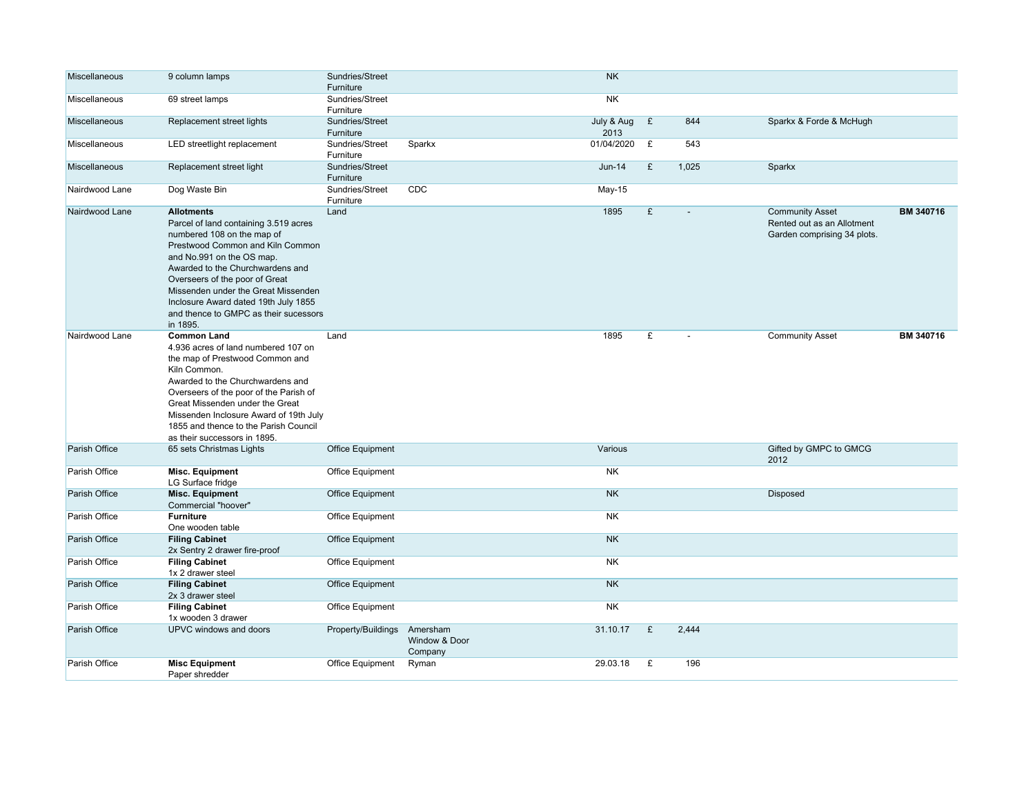| Miscellaneous        | 9 column lamps                                                                                                                                                                                                                                                                                                                                                      | Sundries/Street<br>Furniture |                                      | <b>NK</b>          |   |       |                                                                                     |           |
|----------------------|---------------------------------------------------------------------------------------------------------------------------------------------------------------------------------------------------------------------------------------------------------------------------------------------------------------------------------------------------------------------|------------------------------|--------------------------------------|--------------------|---|-------|-------------------------------------------------------------------------------------|-----------|
| Miscellaneous        | 69 street lamps                                                                                                                                                                                                                                                                                                                                                     | Sundries/Street<br>Furniture |                                      | NK                 |   |       |                                                                                     |           |
| Miscellaneous        | Replacement street lights                                                                                                                                                                                                                                                                                                                                           | Sundries/Street<br>Furniture |                                      | July & Aug<br>2013 | £ | 844   | Sparkx & Forde & McHugh                                                             |           |
| Miscellaneous        | LED streetlight replacement                                                                                                                                                                                                                                                                                                                                         | Sundries/Street<br>Furniture | Sparkx                               | 01/04/2020         | £ | 543   |                                                                                     |           |
| <b>Miscellaneous</b> | Replacement street light                                                                                                                                                                                                                                                                                                                                            | Sundries/Street<br>Furniture |                                      | $Jun-14$           | £ | 1,025 | Sparkx                                                                              |           |
| Nairdwood Lane       | Dog Waste Bin                                                                                                                                                                                                                                                                                                                                                       | Sundries/Street<br>Furniture | CDC                                  | $May-15$           |   |       |                                                                                     |           |
| Nairdwood Lane       | <b>Allotments</b><br>Parcel of land containing 3.519 acres<br>numbered 108 on the map of<br>Prestwood Common and Kiln Common<br>and No.991 on the OS map.<br>Awarded to the Churchwardens and<br>Overseers of the poor of Great<br>Missenden under the Great Missenden<br>Inclosure Award dated 19th July 1855<br>and thence to GMPC as their sucessors<br>in 1895. | Land                         |                                      | 1895               | £ |       | <b>Community Asset</b><br>Rented out as an Allotment<br>Garden comprising 34 plots. | BM 340716 |
| Nairdwood Lane       | <b>Common Land</b><br>4.936 acres of land numbered 107 on<br>the map of Prestwood Common and<br>Kiln Common.<br>Awarded to the Churchwardens and<br>Overseers of the poor of the Parish of<br>Great Missenden under the Great<br>Missenden Inclosure Award of 19th July<br>1855 and thence to the Parish Council<br>as their successors in 1895.                    | Land                         |                                      | 1895               | £ |       | <b>Community Asset</b>                                                              | BM 340716 |
| Parish Office        | 65 sets Christmas Lights                                                                                                                                                                                                                                                                                                                                            | Office Equipment             |                                      | Various            |   |       | Gifted by GMPC to GMCG<br>2012                                                      |           |
| Parish Office        | <b>Misc. Equipment</b><br>LG Surface fridge                                                                                                                                                                                                                                                                                                                         | Office Equipment             |                                      | <b>NK</b>          |   |       |                                                                                     |           |
| Parish Office        | <b>Misc. Equipment</b><br>Commercial "hoover"                                                                                                                                                                                                                                                                                                                       | <b>Office Equipment</b>      |                                      | <b>NK</b>          |   |       | Disposed                                                                            |           |
| Parish Office        | <b>Furniture</b><br>One wooden table                                                                                                                                                                                                                                                                                                                                | Office Equipment             |                                      | NK                 |   |       |                                                                                     |           |
| Parish Office        | <b>Filing Cabinet</b><br>2x Sentry 2 drawer fire-proof                                                                                                                                                                                                                                                                                                              | Office Equipment             |                                      | <b>NK</b>          |   |       |                                                                                     |           |
| Parish Office        | <b>Filing Cabinet</b><br>1x 2 drawer steel                                                                                                                                                                                                                                                                                                                          | Office Equipment             |                                      | NK                 |   |       |                                                                                     |           |
| Parish Office        | <b>Filing Cabinet</b><br>2x 3 drawer steel                                                                                                                                                                                                                                                                                                                          | <b>Office Equipment</b>      |                                      | <b>NK</b>          |   |       |                                                                                     |           |
| Parish Office        | <b>Filing Cabinet</b><br>1x wooden 3 drawer                                                                                                                                                                                                                                                                                                                         | Office Equipment             |                                      | <b>NK</b>          |   |       |                                                                                     |           |
| Parish Office        | UPVC windows and doors                                                                                                                                                                                                                                                                                                                                              | Property/Buildings           | Amersham<br>Window & Door<br>Company | 31.10.17           | £ | 2.444 |                                                                                     |           |
| Parish Office        | <b>Misc Equipment</b><br>Paper shredder                                                                                                                                                                                                                                                                                                                             | Office Equipment             | Ryman                                | 29.03.18           | £ | 196   |                                                                                     |           |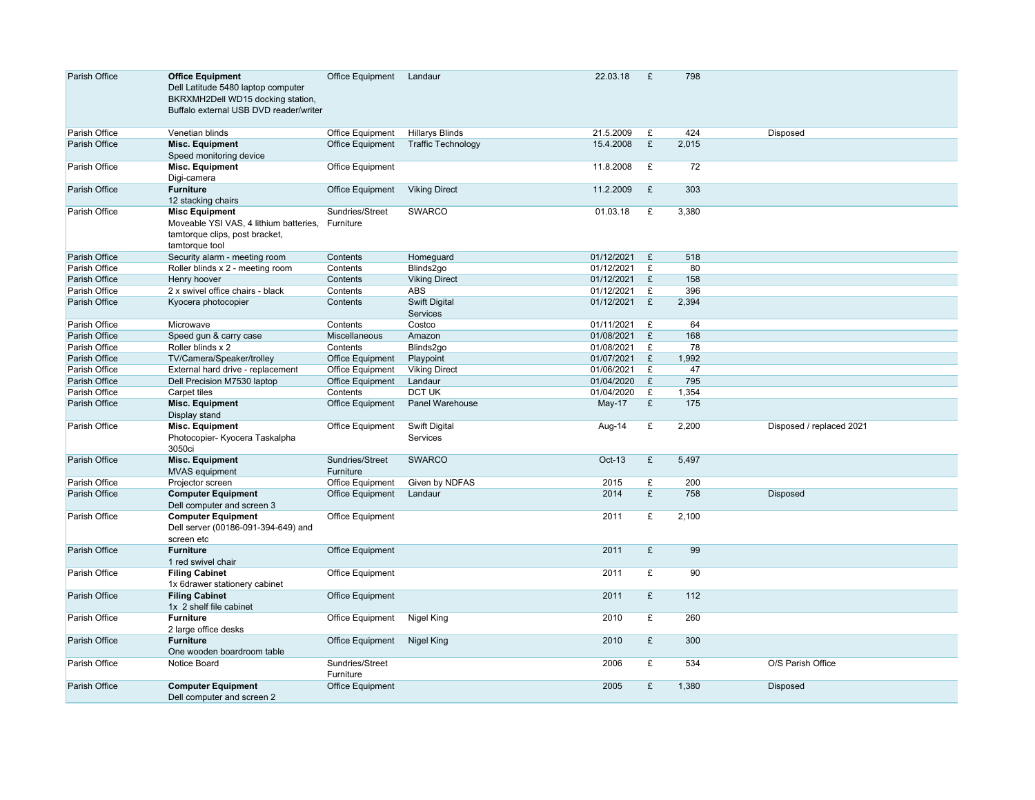| Parish Office | <b>Office Equipment</b><br>Dell Latitude 5480 laptop computer<br>BKRXMH2Dell WD15 docking station,<br>Buffalo external USB DVD reader/writer | Office Equipment             | Landaur                          | 22.03.18   | £            | 798   |                          |
|---------------|----------------------------------------------------------------------------------------------------------------------------------------------|------------------------------|----------------------------------|------------|--------------|-------|--------------------------|
| Parish Office | Venetian blinds                                                                                                                              | Office Equipment             | <b>Hillarys Blinds</b>           | 21.5.2009  | £            | 424   | Disposed                 |
| Parish Office | <b>Misc. Equipment</b><br>Speed monitoring device                                                                                            | Office Equipment             | <b>Traffic Technology</b>        | 15.4.2008  | £            | 2,015 |                          |
| Parish Office | <b>Misc. Equipment</b><br>Digi-camera                                                                                                        | Office Equipment             |                                  | 11.8.2008  | £            | 72    |                          |
| Parish Office | <b>Furniture</b><br>12 stacking chairs                                                                                                       | Office Equipment             | <b>Viking Direct</b>             | 11.2.2009  | £            | 303   |                          |
| Parish Office | <b>Misc Equipment</b><br>Moveable YSI VAS, 4 lithium batteries,<br>tamtorque clips, post bracket,<br>tamtorque tool                          | Sundries/Street<br>Furniture | <b>SWARCO</b>                    | 01.03.18   | £            | 3,380 |                          |
| Parish Office | Security alarm - meeting room                                                                                                                | Contents                     | Homeguard                        | 01/12/2021 | £            | 518   |                          |
| Parish Office | Roller blinds x 2 - meeting room                                                                                                             | Contents                     | Blinds2go                        | 01/12/2021 | £            | 80    |                          |
| Parish Office | Henry hoover                                                                                                                                 | Contents                     | <b>Viking Direct</b>             | 01/12/2021 | £            | 158   |                          |
| Parish Office | 2 x swivel office chairs - black                                                                                                             | Contents                     | <b>ABS</b>                       | 01/12/2021 | £            | 396   |                          |
| Parish Office | Kyocera photocopier                                                                                                                          | Contents                     | <b>Swift Digital</b><br>Services | 01/12/2021 | E            | 2,394 |                          |
| Parish Office | Microwave                                                                                                                                    | Contents                     | Costco                           | 01/11/2021 | £            | 64    |                          |
| Parish Office | Speed gun & carry case                                                                                                                       | <b>Miscellaneous</b>         | Amazon                           | 01/08/2021 | £            | 168   |                          |
| Parish Office | Roller blinds x 2                                                                                                                            | Contents                     | Blinds2go                        | 01/08/2021 | £            | 78    |                          |
| Parish Office | TV/Camera/Speaker/trolley                                                                                                                    | Office Equipment             | Playpoint                        | 01/07/2021 | £            | 1,992 |                          |
| Parish Office | External hard drive - replacement                                                                                                            | Office Equipment             | <b>Viking Direct</b>             | 01/06/2021 | £            | 47    |                          |
| Parish Office | Dell Precision M7530 laptop                                                                                                                  | Office Equipment             | Landaur                          | 01/04/2020 | £            | 795   |                          |
| Parish Office | Carpet tiles                                                                                                                                 | Contents                     | <b>DCT UK</b>                    | 01/04/2020 | £            | 1,354 |                          |
| Parish Office | <b>Misc. Equipment</b><br>Display stand                                                                                                      | Office Equipment             | <b>Panel Warehouse</b>           | $May-17$   | £            | 175   |                          |
| Parish Office | <b>Misc. Equipment</b><br>Photocopier- Kyocera Taskalpha<br>3050ci                                                                           | Office Equipment             | <b>Swift Digital</b><br>Services | Aug-14     | £            | 2,200 | Disposed / replaced 2021 |
| Parish Office | <b>Misc. Equipment</b><br><b>MVAS</b> equipment                                                                                              | Sundries/Street<br>Furniture | <b>SWARCO</b>                    | Oct-13     | £            | 5,497 |                          |
| Parish Office | Projector screen                                                                                                                             | Office Equipment             | Given by NDFAS                   | 2015       | £            | 200   |                          |
| Parish Office | <b>Computer Equipment</b><br>Dell computer and screen 3                                                                                      | <b>Office Equipment</b>      | Landaur                          | 2014       | £            | 758   | <b>Disposed</b>          |
| Parish Office | <b>Computer Equipment</b><br>Dell server (00186-091-394-649) and<br>screen etc                                                               | Office Equipment             |                                  | 2011       | £            | 2,100 |                          |
| Parish Office | <b>Furniture</b><br>1 red swivel chair                                                                                                       | Office Equipment             |                                  | 2011       | £            | 99    |                          |
| Parish Office | <b>Filing Cabinet</b><br>1x 6drawer stationery cabinet                                                                                       | Office Equipment             |                                  | 2011       | £            | 90    |                          |
| Parish Office | <b>Filing Cabinet</b><br>1x 2 shelf file cabinet                                                                                             | Office Equipment             |                                  | 2011       | $\mathbf{f}$ | 112   |                          |
| Parish Office | <b>Furniture</b><br>2 large office desks                                                                                                     | Office Equipment             | Nigel King                       | 2010       | £            | 260   |                          |
| Parish Office | <b>Furniture</b><br>One wooden boardroom table                                                                                               | Office Equipment             | <b>Nigel King</b>                | 2010       | £            | 300   |                          |
| Parish Office | Notice Board                                                                                                                                 | Sundries/Street<br>Furniture |                                  | 2006       | £            | 534   | O/S Parish Office        |
| Parish Office | <b>Computer Equipment</b><br>Dell computer and screen 2                                                                                      | Office Equipment             |                                  | 2005       | £            | 1.380 | Disposed                 |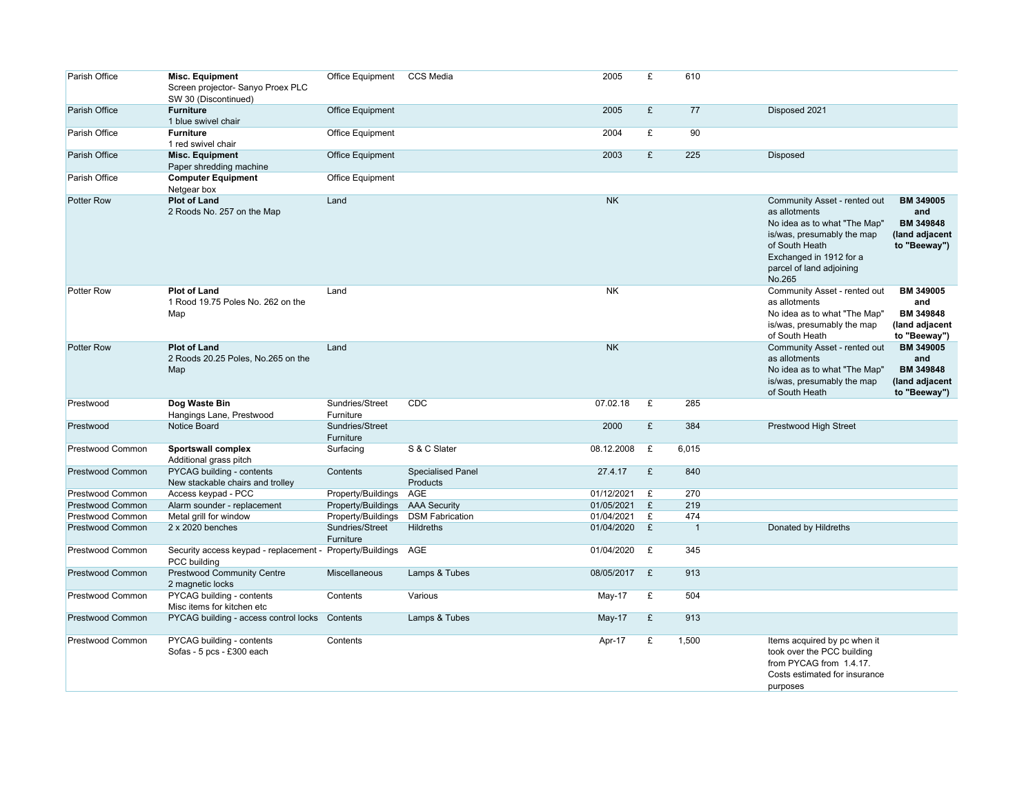| Parish Office           | <b>Misc. Equipment</b><br>Screen projector- Sanyo Proex PLC<br>SW 30 (Discontinued) | Office Equipment             | <b>CCS Media</b>                     | 2005         | £ | 610            |                                                                                                                                                                                                                                                                                 |
|-------------------------|-------------------------------------------------------------------------------------|------------------------------|--------------------------------------|--------------|---|----------------|---------------------------------------------------------------------------------------------------------------------------------------------------------------------------------------------------------------------------------------------------------------------------------|
| Parish Office           | <b>Furniture</b><br>1 blue swivel chair                                             | Office Equipment             |                                      | 2005         | £ | 77             | Disposed 2021                                                                                                                                                                                                                                                                   |
| Parish Office           | <b>Furniture</b><br>1 red swivel chair                                              | Office Equipment             |                                      | 2004         | £ | 90             |                                                                                                                                                                                                                                                                                 |
| Parish Office           | <b>Misc. Equipment</b><br>Paper shredding machine                                   | Office Equipment             |                                      | 2003         | £ | 225            | <b>Disposed</b>                                                                                                                                                                                                                                                                 |
| Parish Office           | <b>Computer Equipment</b><br>Netgear box                                            | Office Equipment             |                                      |              |   |                |                                                                                                                                                                                                                                                                                 |
| Potter Row              | <b>Plot of Land</b><br>2 Roods No. 257 on the Map                                   | Land                         |                                      | <b>NK</b>    |   |                | Community Asset - rented out<br><b>BM 349005</b><br>as allotments<br>and<br><b>BM 349848</b><br>No idea as to what "The Map"<br>(land adjacent<br>is/was, presumably the map<br>of South Heath<br>to "Beeway")<br>Exchanged in 1912 for a<br>parcel of land adjoining<br>No.265 |
| Potter Row              | <b>Plot of Land</b><br>1 Rood 19.75 Poles No. 262 on the<br>Map                     | Land                         |                                      | <b>NK</b>    |   |                | <b>BM 349005</b><br>Community Asset - rented out<br>as allotments<br>and<br>No idea as to what "The Map"<br><b>BM 349848</b><br>is/was, presumably the map<br>(land adjacent<br>of South Heath<br>to "Beeway")                                                                  |
| <b>Potter Row</b>       | <b>Plot of Land</b><br>2 Roods 20.25 Poles, No.265 on the<br>Map                    | Land                         |                                      | <b>NK</b>    |   |                | <b>BM 349005</b><br>Community Asset - rented out<br>as allotments<br>and<br><b>BM 349848</b><br>No idea as to what "The Map"<br>(land adjacent<br>is/was, presumably the map<br>of South Heath<br>to "Beeway")                                                                  |
| Prestwood               | Dog Waste Bin<br>Hangings Lane, Prestwood                                           | Sundries/Street<br>Furniture | CDC                                  | 07.02.18     | £ | 285            |                                                                                                                                                                                                                                                                                 |
| Prestwood               | Notice Board                                                                        | Sundries/Street<br>Furniture |                                      | 2000         | £ | 384            | Prestwood High Street                                                                                                                                                                                                                                                           |
| Prestwood Common        | Sportswall complex<br>Additional grass pitch                                        | Surfacing                    | S & C Slater                         | 08.12.2008   | £ | 6,015          |                                                                                                                                                                                                                                                                                 |
| <b>Prestwood Common</b> | PYCAG building - contents<br>New stackable chairs and trolley                       | Contents                     | <b>Specialised Panel</b><br>Products | 27.4.17      | £ | 840            |                                                                                                                                                                                                                                                                                 |
| Prestwood Common        | Access keypad - PCC                                                                 | Property/Buildings           | AGE                                  | 01/12/2021   | £ | 270            |                                                                                                                                                                                                                                                                                 |
| Prestwood Common        | Alarm sounder - replacement                                                         | Property/Buildings           | <b>AAA Security</b>                  | 01/05/2021   | £ | 219            |                                                                                                                                                                                                                                                                                 |
| Prestwood Common        | Metal grill for window                                                              | Property/Buildings           | <b>DSM Fabrication</b>               | 01/04/2021   | £ | 474            |                                                                                                                                                                                                                                                                                 |
| <b>Prestwood Common</b> | $2 \times 2020$ benches                                                             | Sundries/Street<br>Furniture | <b>Hildreths</b>                     | 01/04/2020   | E | $\overline{1}$ | Donated by Hildreths                                                                                                                                                                                                                                                            |
| Prestwood Common        | Security access keypad - replacement -<br>PCC building                              | Property/Buildings           | AGE                                  | 01/04/2020   | £ | 345            |                                                                                                                                                                                                                                                                                 |
| Prestwood Common        | <b>Prestwood Community Centre</b><br>2 magnetic locks                               | Miscellaneous                | Lamps & Tubes                        | 08/05/2017 £ |   | 913            |                                                                                                                                                                                                                                                                                 |
| Prestwood Common        | PYCAG building - contents<br>Misc items for kitchen etc                             | Contents                     | Various                              | May-17       | £ | 504            |                                                                                                                                                                                                                                                                                 |
| Prestwood Common        | PYCAG building - access control locks                                               | Contents                     | Lamps & Tubes                        | May-17       | £ | 913            |                                                                                                                                                                                                                                                                                 |
| Prestwood Common        | PYCAG building - contents<br>Sofas - 5 pcs - £300 each                              | Contents                     |                                      | Apr-17       | £ | 1,500          | Items acquired by pc when it<br>took over the PCC building<br>from PYCAG from 1.4.17.<br>Costs estimated for insurance<br>purposes                                                                                                                                              |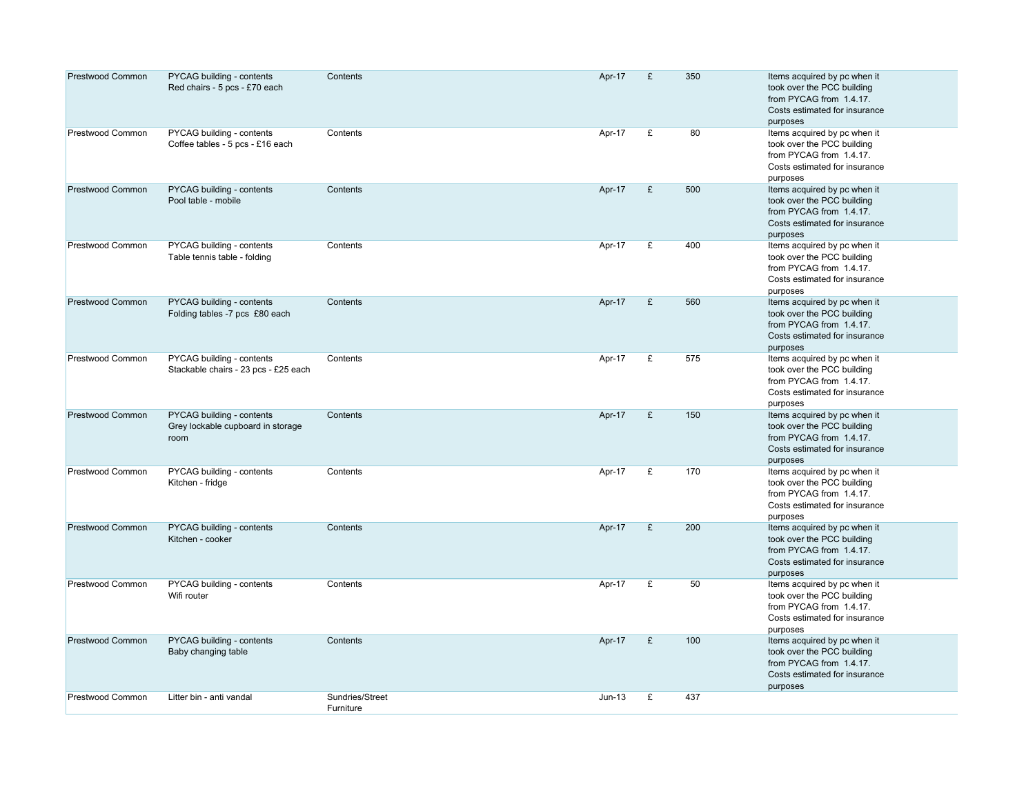| Prestwood Common | PYCAG building - contents<br>Red chairs - 5 pcs - £70 each             | Contents                     | Apr-17   | £ | 350 | Items acquired by pc when it<br>took over the PCC building<br>from PYCAG from 1.4.17.<br>Costs estimated for insurance<br>purposes |
|------------------|------------------------------------------------------------------------|------------------------------|----------|---|-----|------------------------------------------------------------------------------------------------------------------------------------|
| Prestwood Common | PYCAG building - contents<br>Coffee tables - 5 pcs - £16 each          | Contents                     | Apr-17   | £ | 80  | Items acquired by pc when it<br>took over the PCC building<br>from PYCAG from 1.4.17.<br>Costs estimated for insurance<br>purposes |
| Prestwood Common | PYCAG building - contents<br>Pool table - mobile                       | Contents                     | Apr-17   | £ | 500 | Items acquired by pc when it<br>took over the PCC building<br>from PYCAG from 1.4.17.<br>Costs estimated for insurance<br>purposes |
| Prestwood Common | PYCAG building - contents<br>Table tennis table - folding              | Contents                     | Apr-17   | £ | 400 | Items acquired by pc when it<br>took over the PCC building<br>from PYCAG from 1.4.17.<br>Costs estimated for insurance<br>purposes |
| Prestwood Common | PYCAG building - contents<br>Folding tables -7 pcs £80 each            | Contents                     | Apr-17   | £ | 560 | Items acquired by pc when it<br>took over the PCC building<br>from PYCAG from 1.4.17.<br>Costs estimated for insurance<br>purposes |
| Prestwood Common | PYCAG building - contents<br>Stackable chairs - 23 pcs - £25 each      | Contents                     | Apr-17   | £ | 575 | Items acquired by pc when it<br>took over the PCC building<br>from PYCAG from 1.4.17.<br>Costs estimated for insurance<br>purposes |
| Prestwood Common | PYCAG building - contents<br>Grey lockable cupboard in storage<br>room | Contents                     | Apr-17   | £ | 150 | Items acquired by pc when it<br>took over the PCC building<br>from PYCAG from 1.4.17.<br>Costs estimated for insurance<br>purposes |
| Prestwood Common | PYCAG building - contents<br>Kitchen - fridge                          | Contents                     | Apr-17   | £ | 170 | Items acquired by pc when it<br>took over the PCC building<br>from PYCAG from 1.4.17.<br>Costs estimated for insurance<br>purposes |
| Prestwood Common | PYCAG building - contents<br>Kitchen - cooker                          | Contents                     | Apr-17   | £ | 200 | Items acquired by pc when it<br>took over the PCC building<br>from PYCAG from 1.4.17.<br>Costs estimated for insurance<br>purposes |
| Prestwood Common | PYCAG building - contents<br>Wifi router                               | Contents                     | Apr-17   | £ | 50  | Items acquired by pc when it<br>took over the PCC building<br>from PYCAG from 1.4.17.<br>Costs estimated for insurance<br>purposes |
| Prestwood Common | PYCAG building - contents<br>Baby changing table                       | Contents                     | Apr-17   | £ | 100 | Items acquired by pc when it<br>took over the PCC building<br>from PYCAG from 1.4.17.<br>Costs estimated for insurance<br>purposes |
| Prestwood Common | Litter bin - anti vandal                                               | Sundries/Street<br>Furniture | $Jun-13$ | £ | 437 |                                                                                                                                    |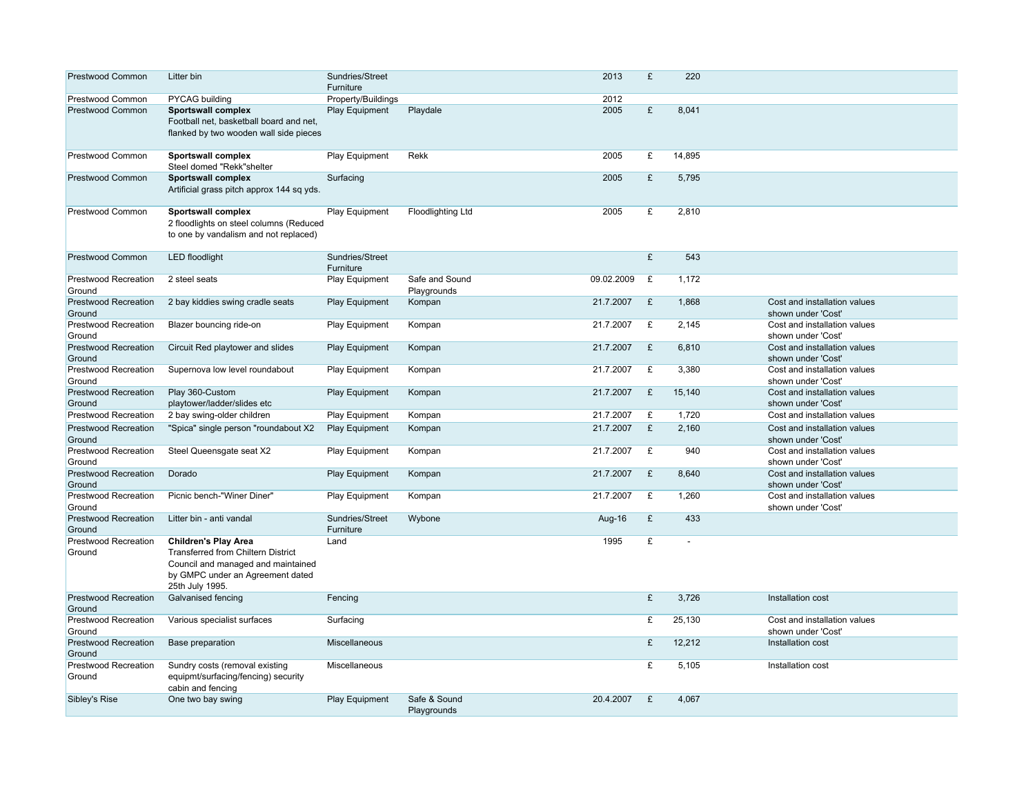| <b>Prestwood Common</b>               | Litter bin                                                                                                                                                     | Sundries/Street<br>Furniture |                               | 2013       | £            | 220            |                                                    |
|---------------------------------------|----------------------------------------------------------------------------------------------------------------------------------------------------------------|------------------------------|-------------------------------|------------|--------------|----------------|----------------------------------------------------|
| Prestwood Common                      | PYCAG building                                                                                                                                                 | Property/Buildings           |                               | 2012       |              |                |                                                    |
| <b>Prestwood Common</b>               | Sportswall complex<br>Football net, basketball board and net.<br>flanked by two wooden wall side pieces                                                        | <b>Play Equipment</b>        | Playdale                      | 2005       | £            | 8,041          |                                                    |
| Prestwood Common                      | Sportswall complex<br>Steel domed "Rekk"shelter                                                                                                                | Play Equipment               | Rekk                          | 2005       | £            | 14,895         |                                                    |
| <b>Prestwood Common</b>               | Sportswall complex<br>Artificial grass pitch approx 144 sq yds.                                                                                                | Surfacing                    |                               | 2005       | £            | 5,795          |                                                    |
| <b>Prestwood Common</b>               | Sportswall complex<br>2 floodlights on steel columns (Reduced<br>to one by vandalism and not replaced)                                                         | Play Equipment               | <b>Floodlighting Ltd</b>      | 2005       | £            | 2,810          |                                                    |
| Prestwood Common                      | <b>LED</b> floodlight                                                                                                                                          | Sundries/Street<br>Furniture |                               |            | £            | 543            |                                                    |
| <b>Prestwood Recreation</b><br>Ground | 2 steel seats                                                                                                                                                  | <b>Play Equipment</b>        | Safe and Sound<br>Playgrounds | 09.02.2009 | £            | 1,172          |                                                    |
| <b>Prestwood Recreation</b><br>Ground | 2 bay kiddies swing cradle seats                                                                                                                               | <b>Play Equipment</b>        | Kompan                        | 21.7.2007  | £            | 1,868          | Cost and installation values<br>shown under 'Cost' |
| <b>Prestwood Recreation</b><br>Ground | Blazer bouncing ride-on                                                                                                                                        | <b>Play Equipment</b>        | Kompan                        | 21.7.2007  | £            | 2,145          | Cost and installation values<br>shown under 'Cost' |
| <b>Prestwood Recreation</b><br>Ground | Circuit Red playtower and slides                                                                                                                               | <b>Play Equipment</b>        | Kompan                        | 21.7.2007  | £            | 6,810          | Cost and installation values<br>shown under 'Cost' |
| <b>Prestwood Recreation</b><br>Ground | Supernova low level roundabout                                                                                                                                 | Play Equipment               | Kompan                        | 21.7.2007  | £            | 3,380          | Cost and installation values<br>shown under 'Cost' |
| <b>Prestwood Recreation</b><br>Ground | Play 360-Custom<br>playtower/ladder/slides etc                                                                                                                 | <b>Play Equipment</b>        | Kompan                        | 21.7.2007  | £            | 15,140         | Cost and installation values<br>shown under 'Cost' |
| Prestwood Recreation                  | 2 bay swing-older children                                                                                                                                     | <b>Play Equipment</b>        | Kompan                        | 21.7.2007  | £            | 1,720          | Cost and installation values                       |
| <b>Prestwood Recreation</b><br>Ground | "Spica" single person "roundabout X2                                                                                                                           | <b>Play Equipment</b>        | Kompan                        | 21.7.2007  | $\mathbf{E}$ | 2,160          | Cost and installation values<br>shown under 'Cost' |
| <b>Prestwood Recreation</b><br>Ground | Steel Queensgate seat X2                                                                                                                                       | <b>Play Equipment</b>        | Kompan                        | 21.7.2007  | £            | 940            | Cost and installation values<br>shown under 'Cost' |
| <b>Prestwood Recreation</b><br>Ground | Dorado                                                                                                                                                         | <b>Play Equipment</b>        | Kompan                        | 21.7.2007  | £            | 8,640          | Cost and installation values<br>shown under 'Cost' |
| <b>Prestwood Recreation</b><br>Ground | Picnic bench-"Winer Diner"                                                                                                                                     | Play Equipment               | Kompan                        | 21.7.2007  | £            | 1,260          | Cost and installation values<br>shown under 'Cost' |
| <b>Prestwood Recreation</b><br>Ground | Litter bin - anti vandal                                                                                                                                       | Sundries/Street<br>Furniture | Wybone                        | Aug-16     | £            | 433            |                                                    |
| <b>Prestwood Recreation</b><br>Ground | <b>Children's Play Area</b><br>Transferred from Chiltern District<br>Council and managed and maintained<br>by GMPC under an Agreement dated<br>25th July 1995. | Land                         |                               | 1995       | £            | $\overline{a}$ |                                                    |
| <b>Prestwood Recreation</b><br>Ground | Galvanised fencing                                                                                                                                             | Fencing                      |                               |            | £            | 3,726          | Installation cost                                  |
| <b>Prestwood Recreation</b><br>Ground | Various specialist surfaces                                                                                                                                    | Surfacing                    |                               |            | £            | 25,130         | Cost and installation values<br>shown under 'Cost' |
| Prestwood Recreation<br>Ground        | Base preparation                                                                                                                                               | Miscellaneous                |                               |            | £            | 12,212         | Installation cost                                  |
| <b>Prestwood Recreation</b><br>Ground | Sundry costs (removal existing<br>equipmt/surfacing/fencing) security<br>cabin and fencing                                                                     | Miscellaneous                |                               |            | £            | 5,105          | Installation cost                                  |
| Sibley's Rise                         | One two bay swing                                                                                                                                              | <b>Play Equipment</b>        | Safe & Sound<br>Playgrounds   | 20.4.2007  | £            | 4,067          |                                                    |